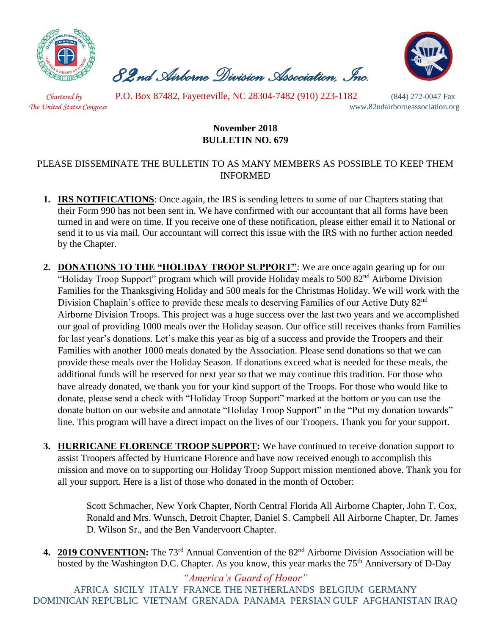

 *82nd Airborne Division Association, Inc.* 



 *Chartered by* P.O. Box 87482, Fayetteville, NC 28304-7482 (910) 223-1182 (844) 272-0047 Fax

*The United States Congress* www.82ndairborneassociation.org

## **November 2018 BULLETIN NO. 679**

## PLEASE DISSEMINATE THE BULLETIN TO AS MANY MEMBERS AS POSSIBLE TO KEEP THEM INFORMED

- **1. IRS NOTIFICATIONS**: Once again, the IRS is sending letters to some of our Chapters stating that their Form 990 has not been sent in. We have confirmed with our accountant that all forms have been turned in and were on time. If you receive one of these notification, please either email it to National or send it to us via mail. Our accountant will correct this issue with the IRS with no further action needed by the Chapter.
- **2. DONATIONS TO THE "HOLIDAY TROOP SUPPORT"**: We are once again gearing up for our "Holiday Troop Support" program which will provide Holiday meals to 500 82<sup>nd</sup> Airborne Division Families for the Thanksgiving Holiday and 500 meals for the Christmas Holiday. We will work with the Division Chaplain's office to provide these meals to deserving Families of our Active Duty 82nd Airborne Division Troops. This project was a huge success over the last two years and we accomplished our goal of providing 1000 meals over the Holiday season. Our office still receives thanks from Families for last year's donations. Let's make this year as big of a success and provide the Troopers and their Families with another 1000 meals donated by the Association. Please send donations so that we can provide these meals over the Holiday Season. If donations exceed what is needed for these meals, the additional funds will be reserved for next year so that we may continue this tradition. For those who have already donated, we thank you for your kind support of the Troops. For those who would like to donate, please send a check with "Holiday Troop Support" marked at the bottom or you can use the donate button on our website and annotate "Holiday Troop Support" in the "Put my donation towards" line. This program will have a direct impact on the lives of our Troopers. Thank you for your support.
- **3. HURRICANE FLORENCE TROOP SUPPORT:** We have continued to receive donation support to assist Troopers affected by Hurricane Florence and have now received enough to accomplish this mission and move on to supporting our Holiday Troop Support mission mentioned above. Thank you for all your support. Here is a list of those who donated in the month of October:

Scott Schmacher, New York Chapter, North Central Florida All Airborne Chapter, John T. Cox, Ronald and Mrs. Wunsch, Detroit Chapter, Daniel S. Campbell All Airborne Chapter, Dr. James D. Wilson Sr., and the Ben Vandervoort Chapter.

**4. 2019 CONVENTION:** The 73rd Annual Convention of the 82nd Airborne Division Association will be hosted by the Washington D.C. Chapter. As you know, this year marks the 75<sup>th</sup> Anniversary of D-Day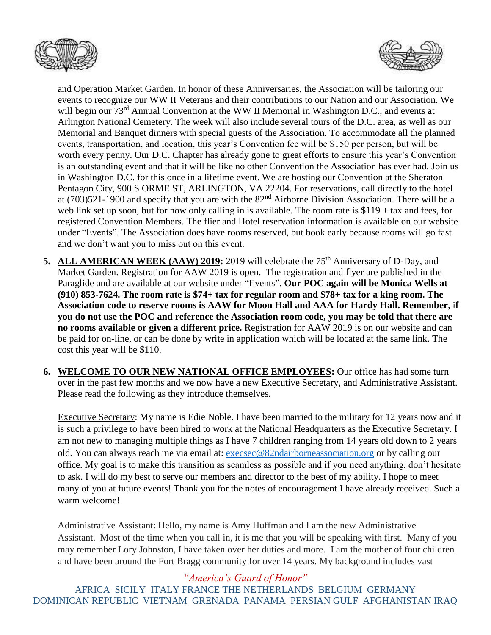



and Operation Market Garden. In honor of these Anniversaries, the Association will be tailoring our events to recognize our WW II Veterans and their contributions to our Nation and our Association. We will begin our 73<sup>rd</sup> Annual Convention at the WW II Memorial in Washington D.C., and events at Arlington National Cemetery. The week will also include several tours of the D.C. area, as well as our Memorial and Banquet dinners with special guests of the Association. To accommodate all the planned events, transportation, and location, this year's Convention fee will be \$150 per person, but will be worth every penny. Our D.C. Chapter has already gone to great efforts to ensure this year's Convention is an outstanding event and that it will be like no other Convention the Association has ever had. Join us in Washington D.C. for this once in a lifetime event. We are hosting our Convention at the Sheraton Pentagon City, 900 S ORME ST, ARLINGTON, VA 22204. For reservations, call directly to the hotel at (703)521-1900 and specify that you are with the 82<sup>nd</sup> Airborne Division Association. There will be a web link set up soon, but for now only calling in is available. The room rate is \$119 + tax and fees, for registered Convention Members. The flier and Hotel reservation information is available on our website under "Events". The Association does have rooms reserved, but book early because rooms will go fast and we don't want you to miss out on this event.

- **5. ALL AMERICAN WEEK (AAW) 2019:** 2019 will celebrate the 75<sup>th</sup> Anniversary of D-Day, and Market Garden. Registration for AAW 2019 is open. The registration and flyer are published in the Paraglide and are available at our website under "Events". **Our POC again will be Monica Wells at (910) 853-7624. The room rate is \$74+ tax for regular room and \$78+ tax for a king room. The Association code to reserve rooms is AAW for Moon Hall and AAA for Hardy Hall. Remember**, i**f you do not use the POC and reference the Association room code, you may be told that there are no rooms available or given a different price.** Registration for AAW 2019 is on our website and can be paid for on-line, or can be done by write in application which will be located at the same link. The cost this year will be \$110.
- **6. WELCOME TO OUR NEW NATIONAL OFFICE EMPLOYEES:** Our office has had some turn over in the past few months and we now have a new Executive Secretary, and Administrative Assistant. Please read the following as they introduce themselves.

Executive Secretary: My name is Edie Noble. I have been married to the military for 12 years now and it is such a privilege to have been hired to work at the National Headquarters as the Executive Secretary. I am not new to managing multiple things as I have 7 children ranging from 14 years old down to 2 years old. You can always reach me via email at: [execsec@82ndairborneassociation.org](file:///C:/Users/lbauer626/Downloads/execsec@82ndairborneassociation.org) or by calling our office. My goal is to make this transition as seamless as possible and if you need anything, don't hesitate to ask. I will do my best to serve our members and director to the best of my ability. I hope to meet many of you at future events! Thank you for the notes of encouragement I have already received. Such a warm welcome!

Administrative Assistant: Hello, my name is Amy Huffman and I am the new Administrative Assistant. Most of the time when you call in, it is me that you will be speaking with first. Many of you may remember Lory Johnston, I have taken over her duties and more. I am the mother of four children and have been around the Fort Bragg community for over 14 years. My background includes vast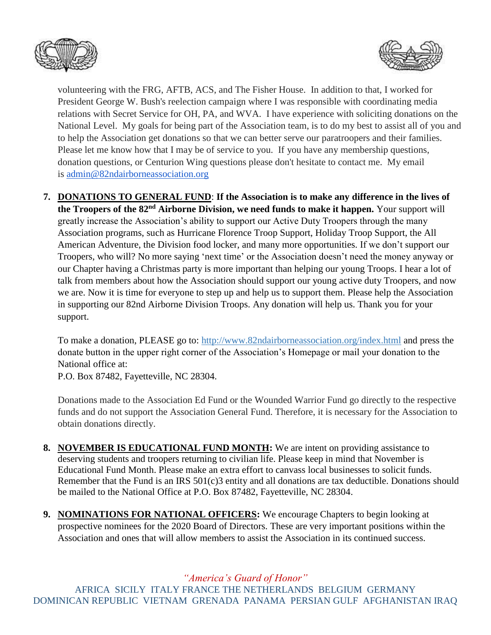



volunteering with the FRG, AFTB, ACS, and The Fisher House. In addition to that, I worked for President George W. Bush's reelection campaign where I was responsible with coordinating media relations with Secret Service for OH, PA, and WVA. I have experience with soliciting donations on the National Level. My goals for being part of the Association team, is to do my best to assist all of you and to help the Association get donations so that we can better serve our paratroopers and their families. Please let me know how that I may be of service to you. If you have any membership questions, donation questions, or Centurion Wing questions please don't hesitate to contact me. My email is [admin@82ndairborneassociation.org](mailto:admin@82ndairborneassociation.org)

**7. DONATIONS TO GENERAL FUND**: **If the Association is to make any difference in the lives of the Troopers of the 82nd Airborne Division, we need funds to make it happen.** Your support will greatly increase the Association's ability to support our Active Duty Troopers through the many Association programs, such as Hurricane Florence Troop Support, Holiday Troop Support, the All American Adventure, the Division food locker, and many more opportunities. If we don't support our Troopers, who will? No more saying 'next time' or the Association doesn't need the money anyway or our Chapter having a Christmas party is more important than helping our young Troops. I hear a lot of talk from members about how the Association should support our young active duty Troopers, and now we are. Now it is time for everyone to step up and help us to support them. Please help the Association in supporting our 82nd Airborne Division Troops. Any donation will help us. Thank you for your support.

To make a donation, PLEASE go to:<http://www.82ndairborneassociation.org/index.html> and press the donate button in the upper right corner of the Association's Homepage or mail your donation to the National office at:

P.O. Box 87482, Fayetteville, NC 28304.

Donations made to the Association Ed Fund or the Wounded Warrior Fund go directly to the respective funds and do not support the Association General Fund. Therefore, it is necessary for the Association to obtain donations directly.

- **8. NOVEMBER IS EDUCATIONAL FUND MONTH:** We are intent on providing assistance to deserving students and troopers returning to civilian life. Please keep in mind that November is Educational Fund Month. Please make an extra effort to canvass local businesses to solicit funds. Remember that the Fund is an IRS 501(c)3 entity and all donations are tax deductible. Donations should be mailed to the National Office at P.O. Box 87482, Fayetteville, NC 28304.
- **9. NOMINATIONS FOR NATIONAL OFFICERS:** We encourage Chapters to begin looking at prospective nominees for the 2020 Board of Directors. These are very important positions within the Association and ones that will allow members to assist the Association in its continued success.

*"America's Guard of Honor"*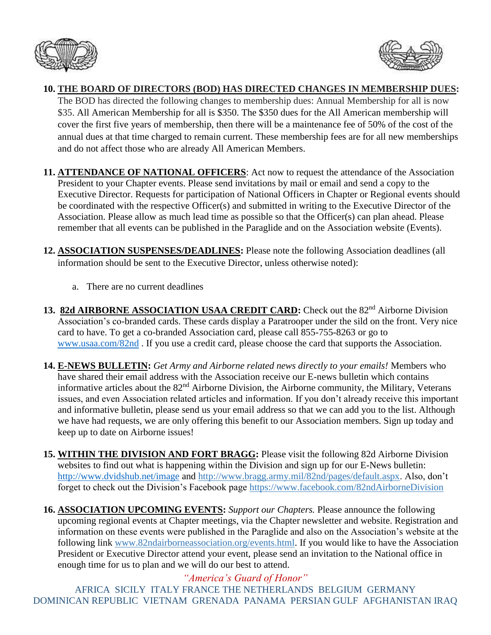



## **10. THE BOARD OF DIRECTORS (BOD) HAS DIRECTED CHANGES IN MEMBERSHIP DUES:**

The BOD has directed the following changes to membership dues: Annual Membership for all is now \$35. All American Membership for all is \$350. The \$350 dues for the All American membership will cover the first five years of membership, then there will be a maintenance fee of 50% of the cost of the annual dues at that time charged to remain current. These membership fees are for all new memberships and do not affect those who are already All American Members.

- **11. ATTENDANCE OF NATIONAL OFFICERS**: Act now to request the attendance of the Association President to your Chapter events. Please send invitations by mail or email and send a copy to the Executive Director. Requests for participation of National Officers in Chapter or Regional events should be coordinated with the respective Officer(s) and submitted in writing to the Executive Director of the Association. Please allow as much lead time as possible so that the Officer(s) can plan ahead. Please remember that all events can be published in the Paraglide and on the Association website (Events).
- **12. ASSOCIATION SUSPENSES/DEADLINES:** Please note the following Association deadlines (all information should be sent to the Executive Director, unless otherwise noted):
	- a. There are no current deadlines
- 13. 82d AIRBORNE ASSOCIATION USAA CREDIT CARD: Check out the 82<sup>nd</sup> Airborne Division Association's co-branded cards. These cards display a Paratrooper under the sild on the front. Very nice card to have. To get a co-branded Association card, please call 855-755-8263 or go to [www.usaa.com/82nd](http://www.usaa.com/82nd) . If you use a credit card, please choose the card that supports the Association.
- **14. E-NEWS BULLETIN:** *Get Army and Airborne related news directly to your emails!* Members who have shared their email address with the Association receive our E-news bulletin which contains informative articles about the 82nd Airborne Division, the Airborne community, the Military, Veterans issues, and even Association related articles and information. If you don't already receive this important and informative bulletin, please send us your email address so that we can add you to the list. Although we have had requests, we are only offering this benefit to our Association members. Sign up today and keep up to date on Airborne issues!
- **15. WITHIN THE DIVISION AND FORT BRAGG:** Please visit the following 82d Airborne Division websites to find out what is happening within the Division and sign up for our E-News bulletin: <http://www.dvidshub.net/image> and [http://www.bragg.army.mil/82nd/pages/default.aspx.](http://www.bragg.army.mil/82ND/Pages/default.aspx) Also, don't forget to check out the Division's Facebook page<https://www.facebook.com/82ndAirborneDivision>
- **16. ASSOCIATION UPCOMING EVENTS:** *Support our Chapters.* Please announce the following upcoming regional events at Chapter meetings, via the Chapter newsletter and website. Registration and information on these events were published in the Paraglide and also on the Association's website at the following link [www.82ndairborneassociation.org/events.html.](http://www.82ndairborneassociation.org/events.html) If you would like to have the Association President or Executive Director attend your event, please send an invitation to the National office in enough time for us to plan and we will do our best to attend.